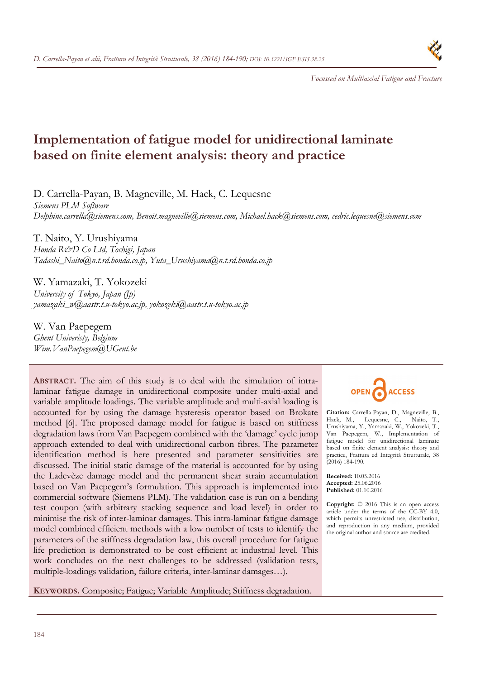

*Focussed on Multiaxial Fatigue and Fracture* 

# **Implementation of fatigue model for unidirectional laminate based on finite element analysis: theory and practice**

D. Carrella-Payan, B. Magneville, M. Hack, C. Lequesne

*Siemens PLM Software Delphine.carrella@siemens.com, Benoit.magneville@siemens.com, Michael.hack@siemens.com, cedric.lequesne@siemens.com* 

T. Naito, Y. Urushiyama *Honda R&D Co Ltd, Tochigi, Japan Tadashi\_Naito@n.t.rd.honda.co.jp, Yuta\_Urushiyama@n.t.rd.honda.co.jp* 

W. Yamazaki, T. Yokozeki *University of Tokyo, Japan (Jp) yamazaki\_w@aastr.t.u-tokyo.ac.jp, yokozeki@aastr.t.u-tokyo.ac.jp* 

W. Van Paepegem *Ghent Univeristy, Belgium Wim.VanPaepegem@UGent.be* 

**ABSTRACT.** The aim of this study is to deal with the simulation of intralaminar fatigue damage in unidirectional composite under multi-axial and variable amplitude loadings. The variable amplitude and multi-axial loading is accounted for by using the damage hysteresis operator based on Brokate method [6]. The proposed damage model for fatigue is based on stiffness degradation laws from Van Paepegem combined with the 'damage' cycle jump approach extended to deal with unidirectional carbon fibres. The parameter identification method is here presented and parameter sensitivities are discussed. The initial static damage of the material is accounted for by using the Ladevèze damage model and the permanent shear strain accumulation based on Van Paepegem's formulation. This approach is implemented into commercial software (Siemens PLM). The validation case is run on a bending test coupon (with arbitrary stacking sequence and load level) in order to minimise the risk of inter-laminar damages. This intra-laminar fatigue damage model combined efficient methods with a low number of tests to identify the parameters of the stiffness degradation law, this overall procedure for fatigue life prediction is demonstrated to be cost efficient at industrial level. This work concludes on the next challenges to be addressed (validation tests, multiple-loadings validation, failure criteria, inter-laminar damages…).



**Citation:** Carrella-Payan, D., Magneville, B., Hack, M., Lequesne, C., Naito, T., Urushiyama, Y., Yamazaki, W., Yokozeki, T., Van Paepegem, W., Implementation of fatigue model for unidirectional laminate based on finite element analysis: theory and practice, Frattura ed Integrità Strutturale, 38  $(2016)$  184-190.

**Received:** 10.05.2016 **Accepted:** 25.06.2016 **Published:** 01.10.2016

**Copyright:** © 2016 This is an open access article under the terms of the CC-BY 4.0, which permits unrestricted use, distribution, and reproduction in any medium, provided the original author and source are credited.

**KEYWORDS.** Composite; Fatigue; Variable Amplitude; Stiffness degradation.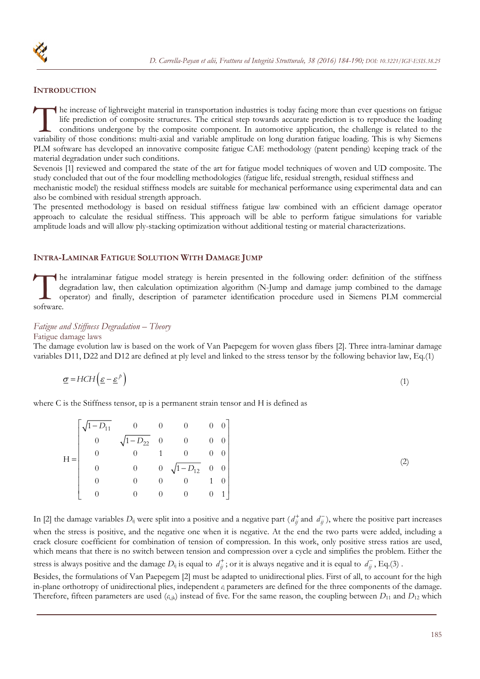## **INTRODUCTION**

he increase of lightweight material in transportation industries is today facing more than ever questions on fatigue life prediction of composite structures. The critical step towards accurate prediction is to reproduce the loading conditions undergone by the composite component. In automotive application, the challenge is related to the The increase of lightweight material in transportation industries is today facing more than ever questions on fatigue life prediction of composite structures. The critical step towards accurate prediction is to reproduce t PLM software has developed an innovative composite fatigue CAE methodology (patent pending) keeping track of the material degradation under such conditions.

Sevenois [1] reviewed and compared the state of the art for fatigue model techniques of woven and UD composite. The study concluded that out of the four modelling methodologies (fatigue life, residual strength, residual stiffness and

mechanistic model) the residual stiffness models are suitable for mechanical performance using experimental data and can also be combined with residual strength approach.

The presented methodology is based on residual stiffness fatigue law combined with an efficient damage operator approach to calculate the residual stiffness. This approach will be able to perform fatigue simulations for variable amplitude loads and will allow ply-stacking optimization without additional testing or material characterizations.

# **INTRA-LAMINAR FATIGUE SOLUTION WITH DAMAGE JUMP**

he intralaminar fatigue model strategy is herein presented in the following order: definition of the stiffness degradation law, then calculation optimization algorithm (N-Jump and damage jump combined to the damage operator) and finally, description of parameter identification procedure used in Siemens PLM commercial the de option of the software.

# *Fatigue and Stiffness Degradation – Theory*

Fatigue damage laws

The damage evolution law is based on the work of Van Paepegem for woven glass fibers [2]. Three intra-laminar damage variables D11, D22 and D12 are defined at ply level and linked to the stress tensor by the following behavior law, Eq.(1)

$$
\underline{\sigma} = HCH\left(\underline{\varepsilon} - \underline{\varepsilon}^p\right) \tag{1}
$$

where C is the Stiffness tensor, εp is a permanent strain tensor and H is defined as

|  | $\sqrt{1-D_{11}}$ |                     |                       | $\overline{0}$ |                                       |
|--|-------------------|---------------------|-----------------------|----------------|---------------------------------------|
|  |                   | $\sqrt{1-D_{22}}$ 0 |                       |                |                                       |
|  |                   |                     |                       |                |                                       |
|  |                   |                     | 0 $\sqrt{1 - D_{12}}$ |                | $\begin{bmatrix} 0 & 0 \end{bmatrix}$ |
|  |                   |                     |                       |                |                                       |
|  |                   |                     |                       |                |                                       |

(2)

In [2] the damage variables  $D_{ij}$  were split into a positive and a negative part ( $d_{ij}^+$  and  $d_{ij}^-$ ), where the positive part increases when the stress is positive, and the negative one when it is negative. At the end the two parts were added, including a crack closure coefficient for combination of tension of compression. In this work, only positive stress ratios are used, which means that there is no switch between tension and compression over a cycle and simplifies the problem. Either the stress is always positive and the damage  $D_{ij}$  is equal to  $d_{ij}^+$ ; or it is always negative and it is equal to  $d_{ij}^-$ , Eq.(3).

Besides, the formulations of Van Paepegem [2] must be adapted to unidirectional plies. First of all, to account for the high in-plane orthotropy of unidirectional plies, independent  $c_i$  parameters are defined for the three components of the damage. Therefore, fifteen parameters are used  $(c_{ijk})$  instead of five. For the same reason, the coupling between  $D_{11}$  and  $D_{12}$  which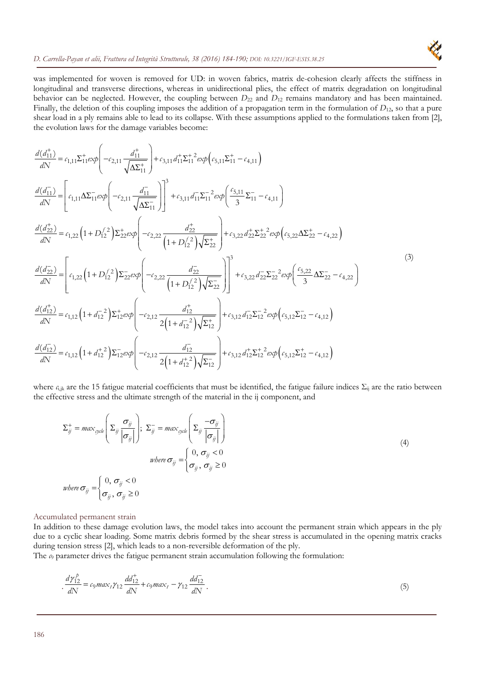

was implemented for woven is removed for UD: in woven fabrics, matrix de-cohesion clearly affects the stiffness in longitudinal and transverse directions, whereas in unidirectional plies, the effect of matrix degradation on longitudinal behavior can be neglected. However, the coupling between  $D_{22}$  and  $D_{12}$  remains mandatory and has been maintained. Finally, the deletion of this coupling imposes the addition of a propagation term in the formulation of *D*12, so that a pure shear load in a ply remains able to lead to its collapse. With these assumptions applied to the formulations taken from [2], the evolution laws for the damage variables become:

$$
\frac{d(d_{11}^{+})}{dN} = c_{1,11} \Sigma_{11}^{+} exp \left( -c_{2,11} \frac{d_{11}^{+}}{\sqrt{\Delta \Sigma_{11}^{+}}} \right) + c_{3,11} d_{11}^{+} \Sigma_{11}^{+}^{2} exp \left( c_{5,11} \Sigma_{11}^{+} - c_{4,11} \right)
$$
\n
$$
\frac{d(d_{11}^{-})}{dN} = \left[ c_{1,11} \Delta \Sigma_{11}^{-} exp \left( -c_{2,11} \frac{d_{11}^{-}}{\sqrt{\Delta \Sigma_{11}^{-}}} \right) \right]^{3} + c_{3,11} d_{11}^{-} \Sigma_{11}^{-2} exp \left( \frac{c_{5,11}}{3} \Sigma_{11}^{-} - c_{4,11} \right)
$$
\n
$$
\frac{d(d_{22}^{+})}{dN} = c_{1,22} \left( 1 + D_{12}^{7/2} \right) \Sigma_{22}^{+} exp \left( -c_{2,22} \frac{d_{22}^{+}}{(1 + D_{12}^{7/2}) \sqrt{\Sigma_{22}^{+}}} \right) + c_{3,22} d_{22}^{+} \Sigma_{22}^{+} exp \left( c_{5,22} \Delta \Sigma_{22}^{+} - c_{4,22} \right)
$$
\n
$$
\frac{d(d_{22}^{-})}{dN} = \left[ c_{1,22} \left( 1 + D_{12}^{7/2} \right) \Sigma_{22}^{-} exp \left( -c_{2,22} \frac{d_{22}^{-}}{(1 + D_{12}^{7/2}) \sqrt{\Sigma_{22}^{-}}} \right) \right]^{3} + c_{3,22} d_{22}^{-} \Sigma_{22}^{-2} exp \left( \frac{c_{5,22}}{3} \Delta \Sigma_{22} - c_{4,22} \right)
$$
\n
$$
\frac{d(d_{12}^{+})}{dN} = c_{1,12} \left( 1 + d_{12}^{-2} \right) \Sigma_{12}^{+} exp \left( -c_{2,12} \frac{d_{12}^{+}}{2 \left( 1 + d_{12}^{-2} \right) \sqrt{\Sigma_{12}^{+}}} \right) + c_{3,12} d_{12}^{-} \Sigma_{12}^{-2} exp
$$

where  $c_{i,jk}$  are the 15 fatigue material coefficients that must be identified, the fatigue failure indices  $\Sigma_{ij}$  are the ratio between the effective stress and the ultimate strength of the material in the ij component, and

$$
\Sigma_{ij}^{+} = max_{cycle} \left( \Sigma_{ij} \frac{\sigma_{ij}}{|\sigma_{ij}|} \right); \ \Sigma_{ij}^{-} = max_{cycle} \left( \Sigma_{ij} \frac{-\sigma_{ij}}{|\sigma_{ij}|} \right)
$$
\n
$$
where \ \sigma_{ij} = \begin{cases} 0, & \sigma_{ij} < 0 \\ \sigma_{ij}, & \sigma_{ij} \ge 0 \end{cases} (4)
$$
\n
$$
where \ \sigma_{ij} = \begin{cases} 0, & \sigma_{ij} < 0 \\ \sigma_{ij}, & \sigma_{ij} \ge 0 \end{cases}
$$

Accumulated permanent strain

In addition to these damage evolution laws, the model takes into account the permanent strain which appears in the ply due to a cyclic shear loading. Some matrix debris formed by the shear stress is accumulated in the opening matrix cracks during tension stress [2], which leads to a non-reversible deformation of the ply.

The  $\omega$  parameter drives the fatigue permanent strain accumulation following the formulation:

$$
\frac{d\gamma_{12}^{p}}{dN} = c_9 \max_{i} \gamma_{12} \frac{dd_{12}^{+}}{dN} + c_9 \max_{i} - \gamma_{12} \frac{dd_{12}^{-}}{dN} \,. \tag{5}
$$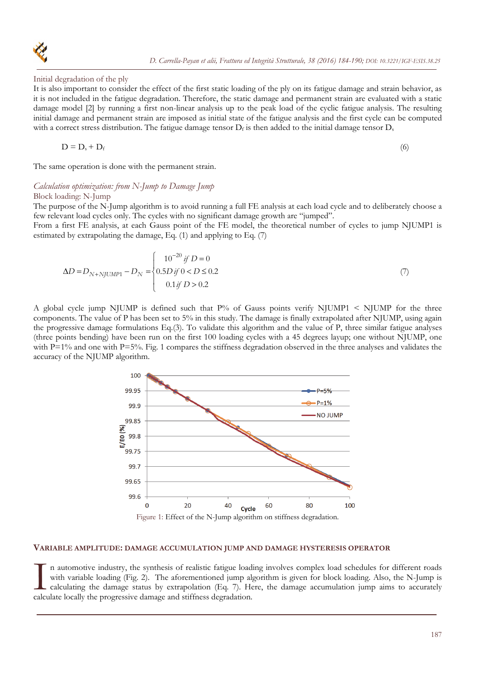

Initial degradation of the ply

It is also important to consider the effect of the first static loading of the ply on its fatigue damage and strain behavior, as it is not included in the fatigue degradation. Therefore, the static damage and permanent strain are evaluated with a static damage model [2] by running a first non-linear analysis up to the peak load of the cyclic fatigue analysis. The resulting initial damage and permanent strain are imposed as initial state of the fatigue analysis and the first cycle can be computed with a correct stress distribution. The fatigue damage tensor  $D_f$  is then added to the initial damage tensor  $D_s$ 

$$
D = D_s + D_f \tag{6}
$$

The same operation is done with the permanent strain.

#### *Calculation optimization: from N-Jump to Damage Jump*

#### Block loading: N-Jump

The purpose of the N-Jump algorithm is to avoid running a full FE analysis at each load cycle and to deliberately choose a few relevant load cycles only. The cycles with no significant damage growth are "jumped".

From a first FE analysis, at each Gauss point of the FE model, the theoretical number of cycles to jump NJUMP1 is estimated by extrapolating the damage, Eq. (1) and applying to Eq. (7)

$$
\Delta D = D_{N+NJUMP1} - D_N = \begin{cases} 10^{-20} & \text{if } D = 0\\ 0.5D & \text{if } 0 < D \le 0.2\\ 0.1 & \text{if } D > 0.2 \end{cases} \tag{7}
$$

A global cycle jump NJUMP is defined such that  $P\%$  of Gauss points verify NJUMP1 < NJUMP for the three components. The value of P has been set to 5% in this study. The damage is finally extrapolated after NJUMP, using again the progressive damage formulations Eq.(3). To validate this algorithm and the value of P, three similar fatigue analyses (three points bending) have been run on the first 100 loading cycles with a 45 degrees layup; one without NJUMP, one with  $P=1\%$  and one with  $P=5\%$ . Fig. 1 compares the stiffness degradation observed in the three analyses and validates the accuracy of the NJUMP algorithm.



#### **VARIABLE AMPLITUDE: DAMAGE ACCUMULATION JUMP AND DAMAGE HYSTERESIS OPERATOR**

n automotive industry, the synthesis of realistic fatigue loading involves complex load schedules for different roads with variable loading (Fig. 2). The aforementioned jump algorithm is given for block loading. Also, the N-Jump is calculating the damage status by extrapolation (Eq. 7). Here, the damage accumulation jump aims to accurately In automotive industry, the synthesis of realistic fatigue loadi with variable loading (Fig. 2). The aforementioned jump algedically the damage status by extrapolation (Eq. 7). He calculate locally the progressive damage a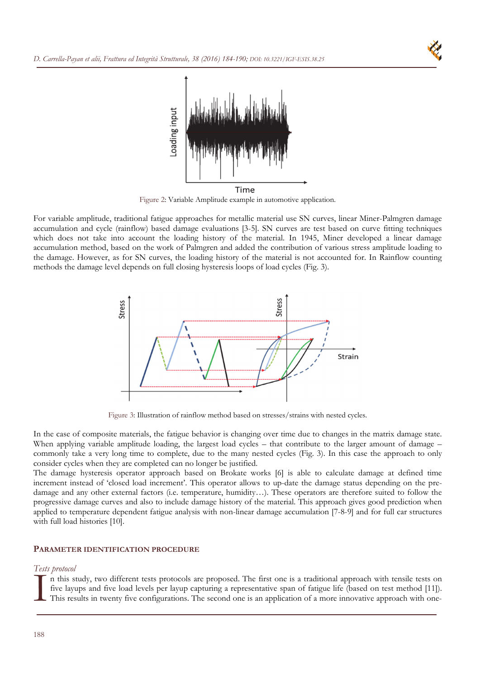



Figure 2: Variable Amplitude example in automotive application.

For variable amplitude, traditional fatigue approaches for metallic material use SN curves, linear Miner-Palmgren damage accumulation and cycle (rainflow) based damage evaluations [3-5]. SN curves are test based on curve fitting techniques which does not take into account the loading history of the material. In 1945, Miner developed a linear damage accumulation method, based on the work of Palmgren and added the contribution of various stress amplitude loading to the damage. However, as for SN curves, the loading history of the material is not accounted for. In Rainflow counting methods the damage level depends on full closing hysteresis loops of load cycles (Fig. 3).



Figure 3: Illustration of rainflow method based on stresses/strains with nested cycles.

In the case of composite materials, the fatigue behavior is changing over time due to changes in the matrix damage state. When applying variable amplitude loading, the largest load cycles – that contribute to the larger amount of damage – commonly take a very long time to complete, due to the many nested cycles (Fig. 3). In this case the approach to only consider cycles when they are completed can no longer be justified.

The damage hysteresis operator approach based on Brokate works [6] is able to calculate damage at defined time increment instead of 'closed load increment'. This operator allows to up-date the damage status depending on the predamage and any other external factors (i.e. temperature, humidity…). These operators are therefore suited to follow the progressive damage curves and also to include damage history of the material. This approach gives good prediction when applied to temperature dependent fatigue analysis with non-linear damage accumulation [7-8-9] and for full car structures with full load histories [10].

#### **PARAMETER IDENTIFICATION PROCEDURE**

#### *Tests protocol*

n this study, two different tests protocols are proposed. The first one is a traditional approach with tensile tests on five layups and five load levels per layup capturing a representative span of fatigue life (based on test method [11]). This results in twenty five configurations. The second one is an application of a more innovative appr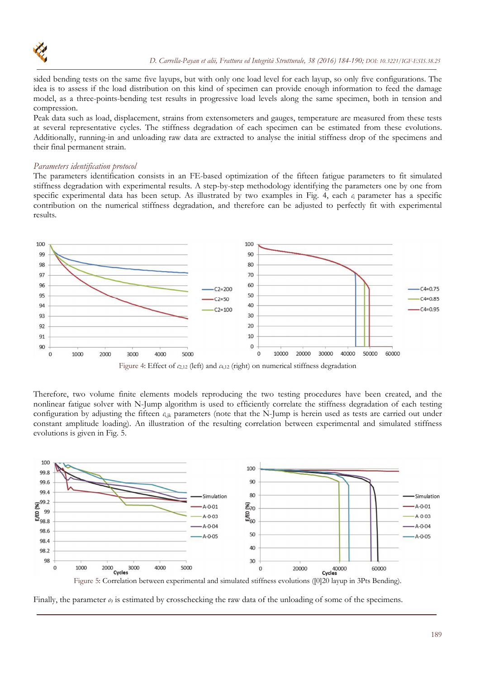

sided bending tests on the same five layups, but with only one load level for each layup, so only five configurations. The idea is to assess if the load distribution on this kind of specimen can provide enough information to feed the damage model, as a three-points-bending test results in progressive load levels along the same specimen, both in tension and compression.

Peak data such as load, displacement, strains from extensometers and gauges, temperature are measured from these tests at several representative cycles. The stiffness degradation of each specimen can be estimated from these evolutions. Additionally, running-in and unloading raw data are extracted to analyse the initial stiffness drop of the specimens and their final permanent strain.

## *Parameters identification protocol*

The parameters identification consists in an FE-based optimization of the fifteen fatigue parameters to fit simulated stiffness degradation with experimental results. A step-by-step methodology identifying the parameters one by one from specific experimental data has been setup. As illustrated by two examples in Fig. 4, each *c*i parameter has a specific contribution on the numerical stiffness degradation, and therefore can be adjusted to perfectly fit with experimental results.



Therefore, two volume finite elements models reproducing the two testing procedures have been created, and the nonlinear fatigue solver with N-Jump algorithm is used to efficiently correlate the stiffness degradation of each testing configuration by adjusting the fifteen  $c_{ijk}$  parameters (note that the N-Jump is herein used as tests are carried out under constant amplitude loading). An illustration of the resulting correlation between experimental and simulated stiffness evolutions is given in Fig. 5.



Finally, the parameter  $\alpha_9$  is estimated by crosschecking the raw data of the unloading of some of the specimens.